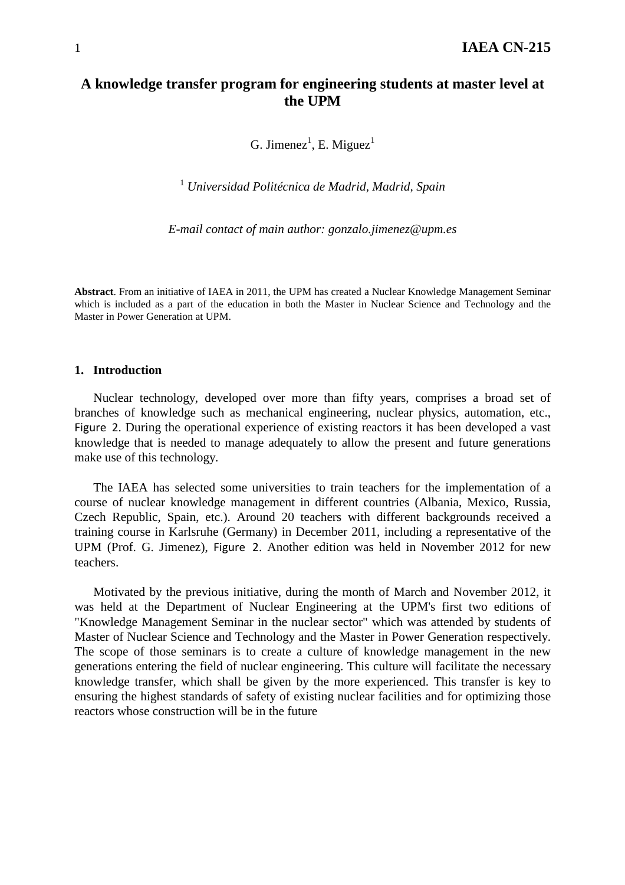# **A knowledge transfer program for engineering students at master level at the UPM**

G. Jimenez<sup>1</sup>, E. Miguez<sup>1</sup>

<sup>1</sup> *Universidad Politécnica de Madrid, Madrid, Spain* 

*E-mail contact of main author: gonzalo.jimenez@upm.es* 

**Abstract**. From an initiative of IAEA in 2011, the UPM has created a Nuclear Knowledge Management Seminar which is included as a part of the education in both the Master in Nuclear Science and Technology and the Master in Power Generation at UPM.

### **1. Introduction**

Nuclear technology, developed over more than fifty years, comprises a broad set of branches of knowledge such as mechanical engineering, nuclear physics, automation, etc., Figure 2. During the operational experience of existing reactors it has been developed a vast knowledge that is needed to manage adequately to allow the present and future generations make use of this technology.

The IAEA has selected some universities to train teachers for the implementation of a course of nuclear knowledge management in different countries (Albania, Mexico, Russia, Czech Republic, Spain, etc.). Around 20 teachers with different backgrounds received a training course in Karlsruhe (Germany) in December 2011, including a representative of the UPM (Prof. G. Jimenez), Figure 2. Another edition was held in November 2012 for new teachers.

Motivated by the previous initiative, during the month of March and November 2012, it was held at the Department of Nuclear Engineering at the UPM's first two editions of "Knowledge Management Seminar in the nuclear sector" which was attended by students of Master of Nuclear Science and Technology and the Master in Power Generation respectively. The scope of those seminars is to create a culture of knowledge management in the new generations entering the field of nuclear engineering. This culture will facilitate the necessary knowledge transfer, which shall be given by the more experienced. This transfer is key to ensuring the highest standards of safety of existing nuclear facilities and for optimizing those reactors whose construction will be in the future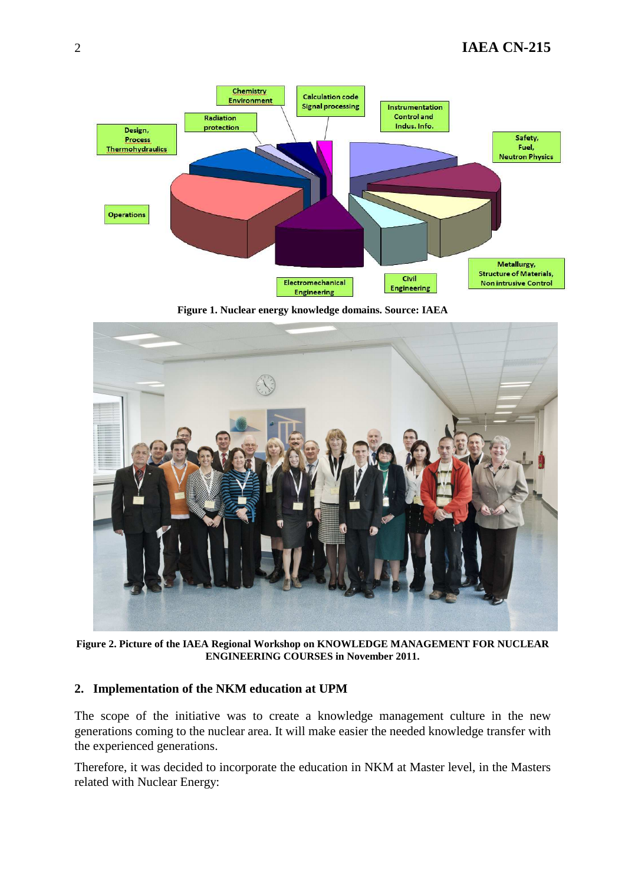

**Figure 1. Nuclear energy knowledge domains. Source: IAEA** 



**Figure 2. Picture of the IAEA Regional Workshop on KNOWLEDGE MANAGEMENT FOR NUCLEAR ENGINEERING COURSES in November 2011.** 

## **2. Implementation of the NKM education at UPM**

The scope of the initiative was to create a knowledge management culture in the new generations coming to the nuclear area. It will make easier the needed knowledge transfer with the experienced generations.

Therefore, it was decided to incorporate the education in NKM at Master level, in the Masters related with Nuclear Energy: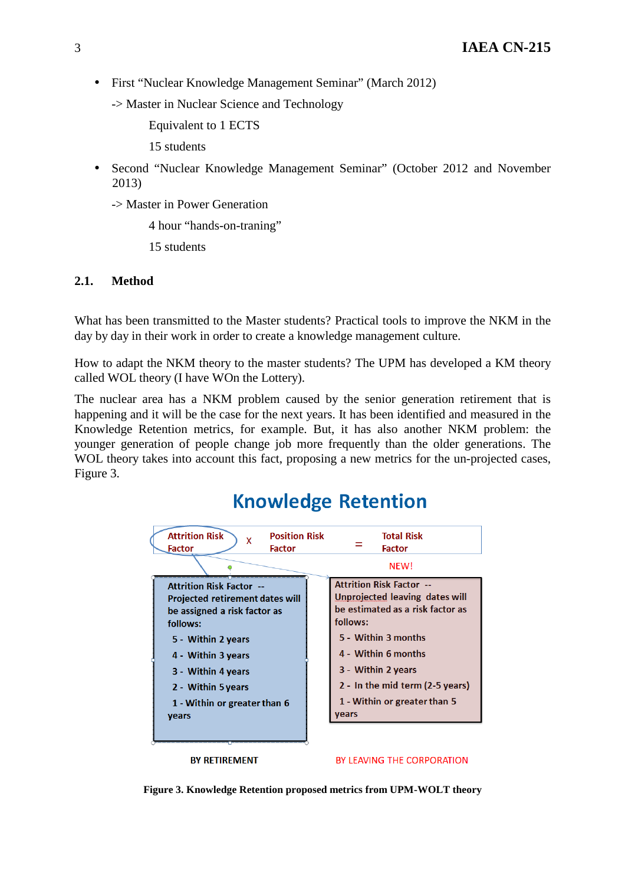- First "Nuclear Knowledge Management Seminar" (March 2012)
	- -> Master in Nuclear Science and Technology

Equivalent to 1 ECTS

15 students

• Second "Nuclear Knowledge Management Seminar" (October 2012 and November 2013)

-> Master in Power Generation

4 hour "hands-on-traning"

15 students

# **2.1. Method**

What has been transmitted to the Master students? Practical tools to improve the NKM in the day by day in their work in order to create a knowledge management culture.

How to adapt the NKM theory to the master students? The UPM has developed a KM theory called WOL theory (I have WOn the Lottery).

The nuclear area has a NKM problem caused by the senior generation retirement that is happening and it will be the case for the next years. It has been identified and measured in the Knowledge Retention metrics, for example. But, it has also another NKM problem: the younger generation of people change job more frequently than the older generations. The WOL theory takes into account this fact, proposing a new metrics for the un-projected cases, Figure 3.

**Knowledge Retention** 

#### **Attrition Risk Total Risk Position Risk**  $\overline{\mathsf{x}}$  $=$ **Factor Factor Factor NFW! Attrition Risk Factor --Attrition Risk Factor --Unprojected leaving dates will Projected retirement dates will** be estimated as a risk factor as be assigned a risk factor as follows: follows: 5 - Within 3 months 5 - Within 2 years 4 - Within 6 months 4 - Within 3 vears 3 - Within 2 years 3 - Within 4 years 2 - In the mid term (2-5 years) 2 - Within 5 years 1 - Within or greater than 5 1 - Within or greater than 6 years years

### **BY RETIREMENT**

## BY LEAVING THE CORPORATION

**Figure 3. Knowledge Retention proposed metrics from UPM-WOLT theory**